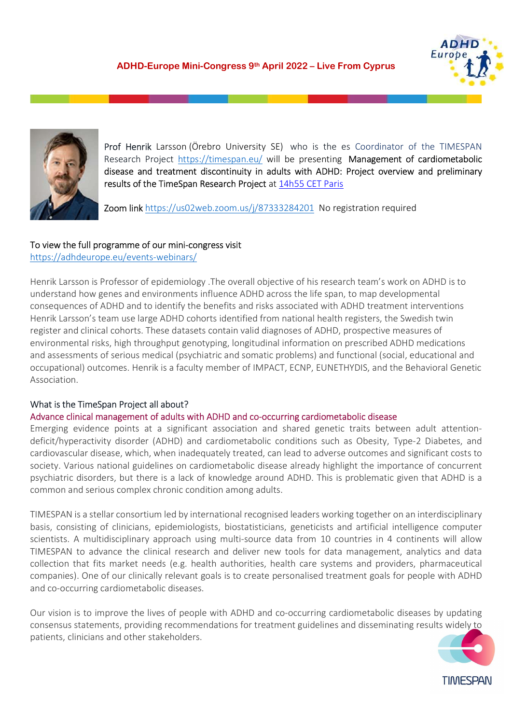



Prof Henrik Larsson (Örebro University SE) who is the es Coordinator of the TIMESPAN Research Project https://timespan.eu/ will be presenting Management of cardiometabolic disease and treatment discontinuity in adults with ADHD: Project overview and preliminary results of the TimeSpan Research Project at 14h55 CET Paris

Zoom link https://us02web.zoom.us/j/87333284201 No registration required

## To view the full programme of our mini-congress visit

https://adhdeurope.eu/events-webinars/

Henrik Larsson is Professor of epidemiology .The overall objective of his research team's work on ADHD is to understand how genes and environments influence ADHD across the life span, to map developmental consequences of ADHD and to identify the benefits and risks associated with ADHD treatment interventions Henrik Larsson's team use large ADHD cohorts identified from national health registers, the Swedish twin register and clinical cohorts. These datasets contain valid diagnoses of ADHD, prospective measures of environmental risks, high throughput genotyping, longitudinal information on prescribed ADHD medications and assessments of serious medical (psychiatric and somatic problems) and functional (social, educational and occupational) outcomes. Henrik is a faculty member of IMPACT, ECNP, EUNETHYDIS, and the Behavioral Genetic Association.

# What is the TimeSpan Project all about?

#### Advance clinical management of adults with ADHD and co-occurring cardiometabolic disease

Emerging evidence points at a significant association and shared genetic traits between adult attentiondeficit/hyperactivity disorder (ADHD) and cardiometabolic conditions such as Obesity, Type-2 Diabetes, and cardiovascular disease, which, when inadequately treated, can lead to adverse outcomes and significant costs to society. Various national guidelines on cardiometabolic disease already highlight the importance of concurrent psychiatric disorders, but there is a lack of knowledge around ADHD. This is problematic given that ADHD is a common and serious complex chronic condition among adults.

TIMESPAN is a stellar consortium led by international recognised leaders working together on an interdisciplinary basis, consisting of clinicians, epidemiologists, biostatisticians, geneticists and artificial intelligence computer scientists. A multidisciplinary approach using multi-source data from 10 countries in 4 continents will allow TIMESPAN to advance the clinical research and deliver new tools for data management, analytics and data collection that fits market needs (e.g. health authorities, health care systems and providers, pharmaceutical companies). One of our clinically relevant goals is to create personalised treatment goals for people with ADHD and co-occurring cardiometabolic diseases.

Our vision is to improve the lives of people with ADHD and co-occurring cardiometabolic diseases by updating consensus statements, providing recommendations for treatment guidelines and disseminating results widely to patients, clinicians and other stakeholders.

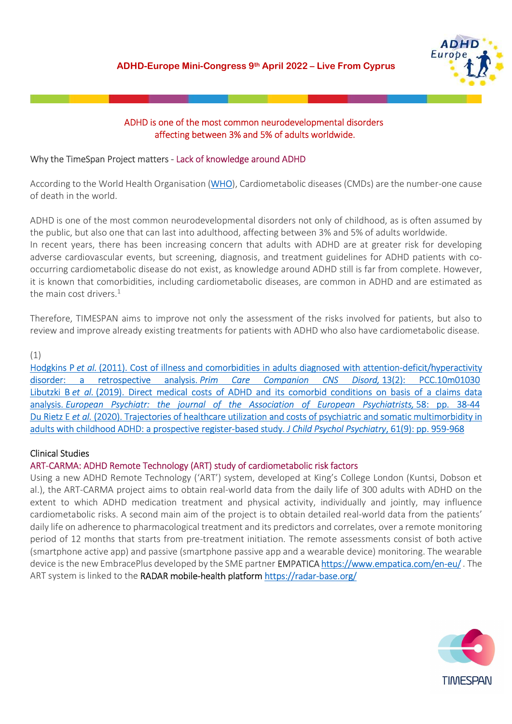

## ADHD is one of the most common neurodevelopmental disorders affecting between 3% and 5% of adults worldwide.

## Why the TimeSpan Project matters - Lack of knowledge around ADHD

According to the World Health Organisation (WHO), Cardiometabolic diseases (CMDs) are the number-one cause of death in the world.

ADHD is one of the most common neurodevelopmental disorders not only of childhood, as is often assumed by the public, but also one that can last into adulthood, affecting between 3% and 5% of adults worldwide. In recent years, there has been increasing concern that adults with ADHD are at greater risk for developing adverse cardiovascular events, but screening, diagnosis, and treatment guidelines for ADHD patients with cooccurring cardiometabolic disease do not exist, as knowledge around ADHD still is far from complete. However, it is known that comorbidities, including cardiometabolic diseases, are common in ADHD and are estimated as the main cost drivers. $^{1}$ 

Therefore, TIMESPAN aims to improve not only the assessment of the risks involved for patients, but also to review and improve already existing treatments for patients with ADHD who also have cardiometabolic disease.

## (1)

Hodgkins P et al. (2011). Cost of illness and comorbidities in adults diagnosed with attention-deficit/hyperactivity disorder: a retrospective analysis. Prim Care Companion CNS Disord, 13(2): PCC.10m01030 Libutzki B et al. (2019). Direct medical costs of ADHD and its comorbid conditions on basis of a claims data analysis. European Psychiatr: the journal of the Association of European Psychiatrists, 58: pp. 38-44 Du Rietz E et al. (2020). Trajectories of healthcare utilization and costs of psychiatric and somatic multimorbidity in adults with childhood ADHD: a prospective register-based study. J Child Psychol Psychiatry, 61(9): pp. 959-968

## Clinical Studies

#### ART-CARMA: ADHD Remote Technology (ART) study of cardiometabolic risk factors

Using a new ADHD Remote Technology ('ART') system, developed at King's College London (Kuntsi, Dobson et al.), the ART-CARMA project aims to obtain real-world data from the daily life of 300 adults with ADHD on the extent to which ADHD medication treatment and physical activity, individually and jointly, may influence cardiometabolic risks. A second main aim of the project is to obtain detailed real-world data from the patients' daily life on adherence to pharmacological treatment and its predictors and correlates, over a remote monitoring period of 12 months that starts from pre-treatment initiation. The remote assessments consist of both active (smartphone active app) and passive (smartphone passive app and a wearable device) monitoring. The wearable device is the new EmbracePlus developed by the SME partner **EMPATICA https://www.empatica.com/en-eu/**. The ART system is linked to the RADAR mobile-health platform https://radar-base.org/